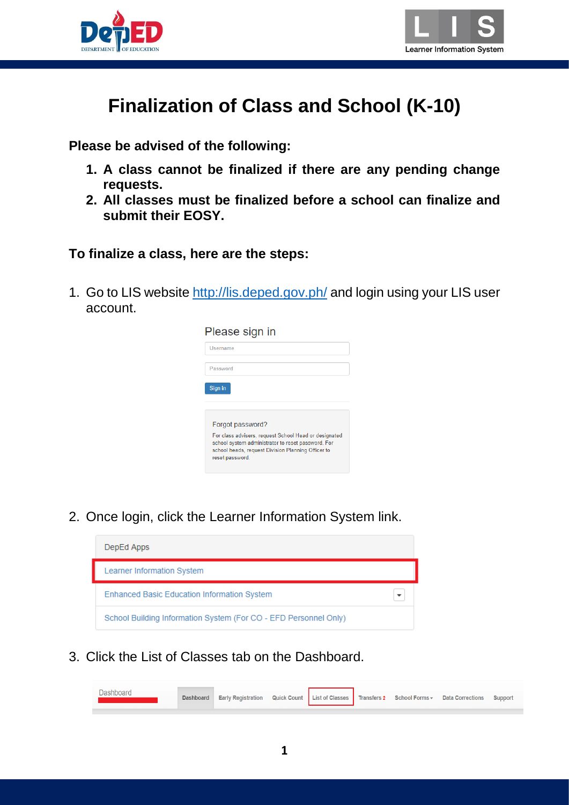



# **Finalization of Class and School (K-10)**

**Please be advised of the following:**

- **1. A class cannot be finalized if there are any pending change requests.**
- **2. All classes must be finalized before a school can finalize and submit their EOSY.**

#### **To finalize a class, here are the steps:**

1. Go to LIS website<http://lis.deped.gov.ph/> and login using your LIS user account.

| Please sign in                                                                                                                                                                       |
|--------------------------------------------------------------------------------------------------------------------------------------------------------------------------------------|
| Username                                                                                                                                                                             |
| Password                                                                                                                                                                             |
| Sign in                                                                                                                                                                              |
|                                                                                                                                                                                      |
| Forgot password?                                                                                                                                                                     |
| For class advisers, request School Head or designated<br>school system administrator to reset password. For<br>school heads, request Division Planning Officer to<br>reset password. |
|                                                                                                                                                                                      |

2. Once login, click the Learner Information System link.



3. Click the List of Classes tab on the Dashboard.

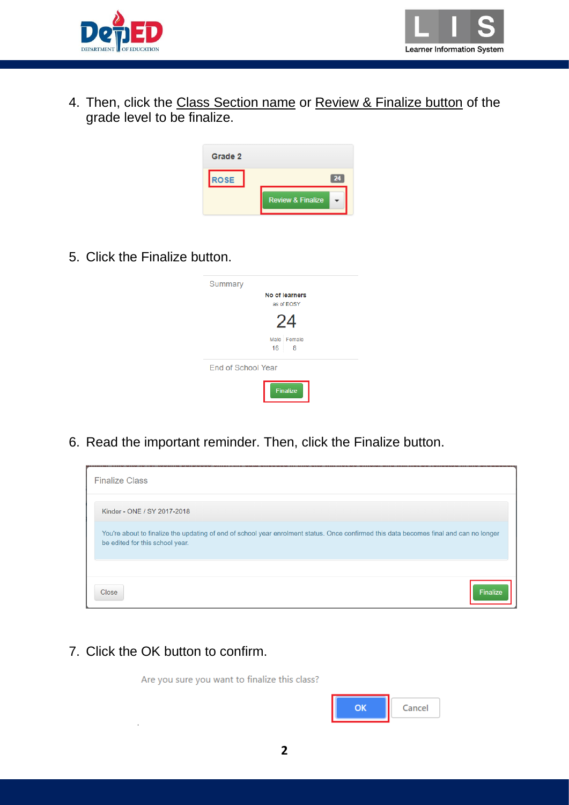



4. Then, click the Class Section name or Review & Finalize button of the grade level to be finalize.



5. Click the Finalize button.

| Summary            |                              |
|--------------------|------------------------------|
|                    | No of learners<br>as of EOSY |
|                    | 24                           |
|                    | Male Female<br>16<br>8       |
| End of School Year |                              |
|                    | <b>Finalize</b>              |

6. Read the important reminder. Then, click the Finalize button.



7. Click the OK button to confirm.

Are you sure you want to finalize this class?

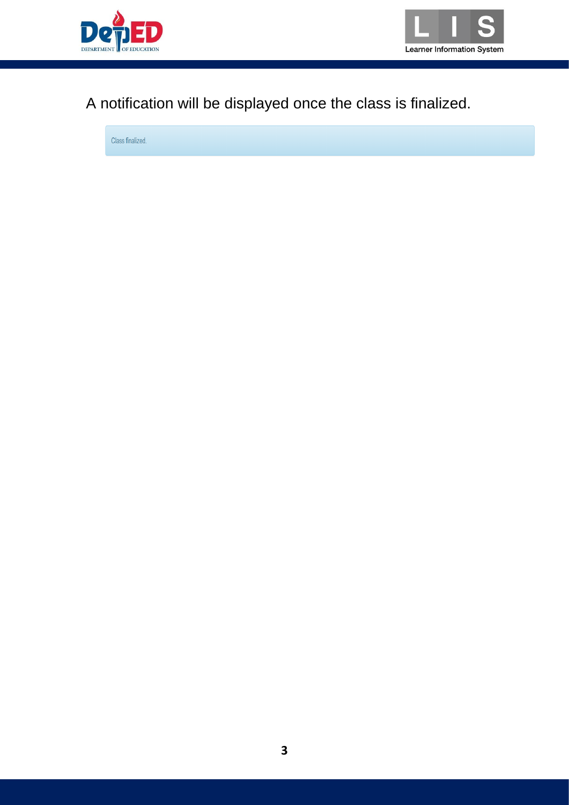



## A notification will be displayed once the class is finalized.

Class finalized.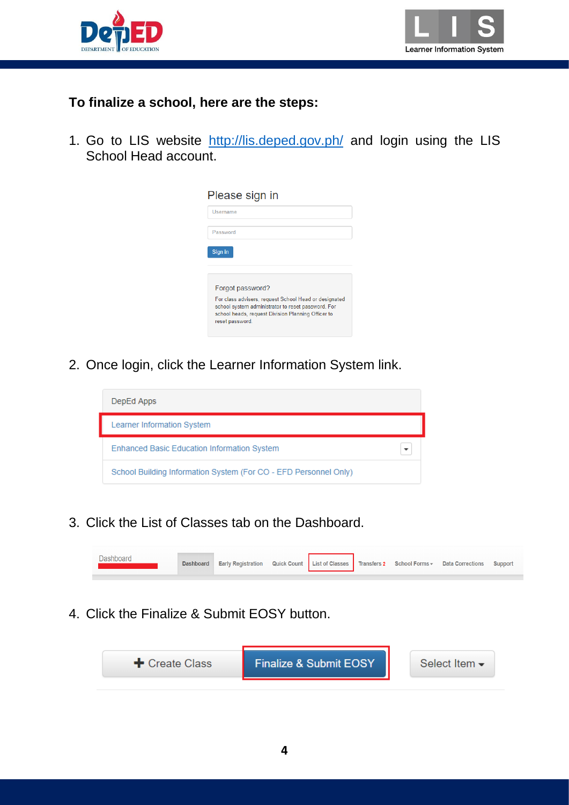



#### **To finalize a school, here are the steps:**

1. Go to LIS website <http://lis.deped.gov.ph/> and login using the LIS School Head account.

| Please sign in                                                                                                                                                                       |
|--------------------------------------------------------------------------------------------------------------------------------------------------------------------------------------|
| Username                                                                                                                                                                             |
| Password                                                                                                                                                                             |
| Sign in                                                                                                                                                                              |
|                                                                                                                                                                                      |
| Forgot password?                                                                                                                                                                     |
| For class advisers, request School Head or designated<br>school system administrator to reset password. For<br>school heads, request Division Planning Officer to<br>reset password. |
|                                                                                                                                                                                      |

2. Once login, click the Learner Information System link.



3. Click the List of Classes tab on the Dashboard.



4. Click the Finalize & Submit EOSY button.